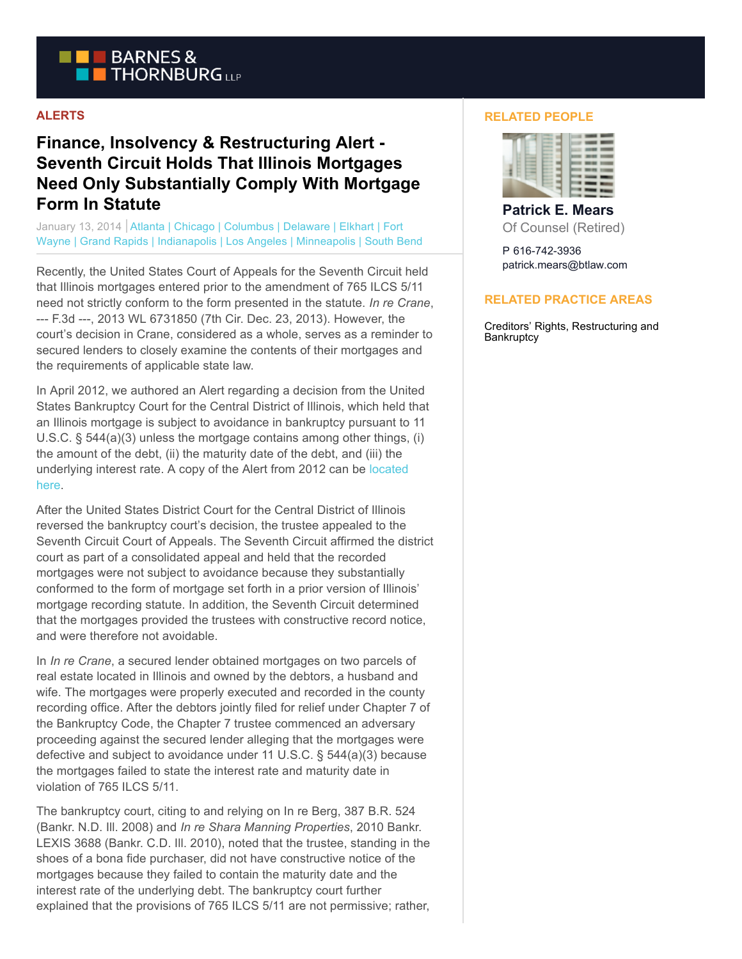

## **ALERTS**

## **Finance, Insolvency & Restructuring Alert - Seventh Circuit Holds That Illinois Mortgages Need Only Substantially Comply With Mortgage Form In Statute**

January 13, 2014 | Atlanta | Chicago | Columbus | Delaware | Elkhart | Fort Wayne | Grand Rapids | Indianapolis | Los Angeles | Minneapolis | South Bend

Recently, the United States Court of Appeals for the Seventh Circuit held that Illinois mortgages entered prior to the amendment of 765 ILCS 5/11 need not strictly conform to the form presented in the statute. *In re Crane*, --- F.3d ---, 2013 WL 6731850 (7th Cir. Dec. 23, 2013). However, the court's decision in Crane, considered as a whole, serves as a reminder to secured lenders to closely examine the contents of their mortgages and the requirements of applicable state law.

In April 2012, we authored an Alert regarding a decision from the United States Bankruptcy Court for the Central District of Illinois, which held that an Illinois mortgage is subject to avoidance in bankruptcy pursuant to 11 U.S.C. § 544(a)(3) unless the mortgage contains among other things, (i) the amount of the debt, (ii) the maturity date of the debt, and (iii) the underlying interest rate. A copy of the Alert from 2012 can be [located](http://www.btlaw.com/alert-illinois-mortgages-subject-to-avoidance-in-bankruptcy-april-2012) here.

After the United States District Court for the Central District of Illinois reversed the bankruptcy court's decision, the trustee appealed to the Seventh Circuit Court of Appeals. The Seventh Circuit affirmed the district court as part of a consolidated appeal and held that the recorded mortgages were not subject to avoidance because they substantially conformed to the form of mortgage set forth in a prior version of Illinois' mortgage recording statute. In addition, the Seventh Circuit determined that the mortgages provided the trustees with constructive record notice, and were therefore not avoidable.

In *In re Crane*, a secured lender obtained mortgages on two parcels of real estate located in Illinois and owned by the debtors, a husband and wife. The mortgages were properly executed and recorded in the county recording office. After the debtors jointly filed for relief under Chapter 7 of the Bankruptcy Code, the Chapter 7 trustee commenced an adversary proceeding against the secured lender alleging that the mortgages were defective and subject to avoidance under 11 U.S.C. § 544(a)(3) because the mortgages failed to state the interest rate and maturity date in violation of 765 ILCS 5/11.

The bankruptcy court, citing to and relying on In re Berg, 387 B.R. 524 (Bankr. N.D. Ill. 2008) and *In re Shara Manning Properties*, 2010 Bankr. LEXIS 3688 (Bankr. C.D. Ill. 2010), noted that the trustee, standing in the shoes of a bona fide purchaser, did not have constructive notice of the mortgages because they failed to contain the maturity date and the interest rate of the underlying debt. The bankruptcy court further explained that the provisions of 765 ILCS 5/11 are not permissive; rather,

## **RELATED PEOPLE**



**Patrick E. Mears** Of Counsel (Retired)

P 616-742-3936 patrick.mears@btlaw.com

## **RELATED PRACTICE AREAS**

Creditors' Rights, Restructuring and **Bankruptcy**